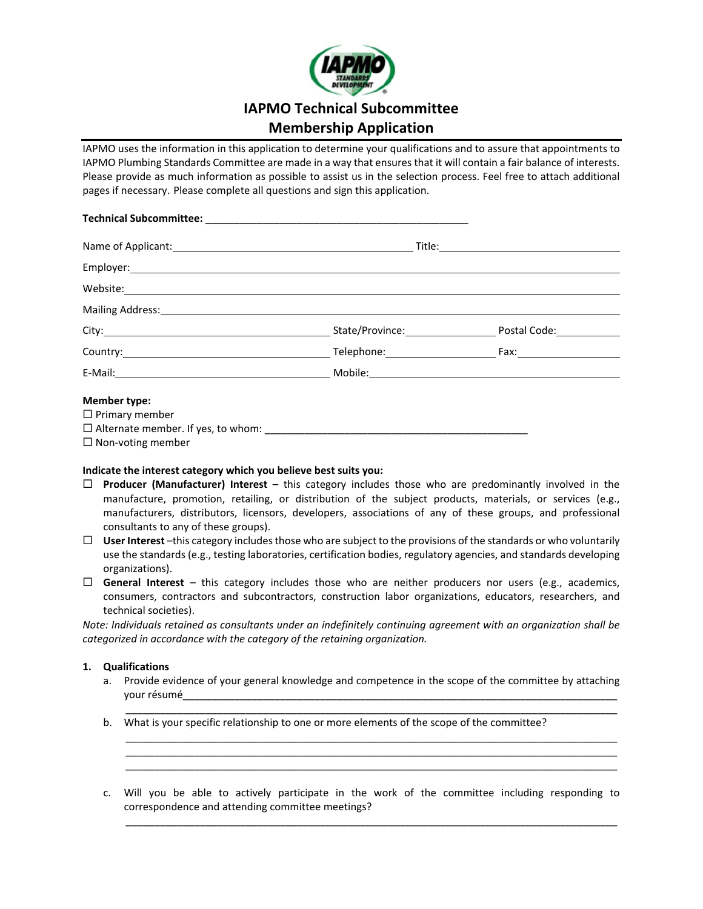

# **IAPMO Technical Subcommittee**

# **Membership Application**

IAPMO uses the information in this application to determine your qualifications and to assure that appointments to IAPMO Plumbing Standards Committee are made in a way that ensures that it will contain a fair balance of interests. Please provide as much information as possible to assist us in the selection process. Feel free to attach additional pages if necessary. Please complete all questions and sign this application.

|                                                                                                                                                                                                                                | Name of Applicant: and the contract of the contract of the contract of the contract of Applicant: |  |
|--------------------------------------------------------------------------------------------------------------------------------------------------------------------------------------------------------------------------------|---------------------------------------------------------------------------------------------------|--|
|                                                                                                                                                                                                                                |                                                                                                   |  |
| Website: when the contract of the contract of the contract of the contract of the contract of the contract of the contract of the contract of the contract of the contract of the contract of the contract of the contract of  |                                                                                                   |  |
| Mailing Address: National Address: National Address: National Address: National Address: National Address: National Address: National Address: National Address: National Address: National Address: National Address: Nationa |                                                                                                   |  |
|                                                                                                                                                                                                                                |                                                                                                   |  |
|                                                                                                                                                                                                                                |                                                                                                   |  |
|                                                                                                                                                                                                                                |                                                                                                   |  |
| <b>Member type:</b>                                                                                                                                                                                                            |                                                                                                   |  |
| $\Box$ Primary member                                                                                                                                                                                                          |                                                                                                   |  |
|                                                                                                                                                                                                                                |                                                                                                   |  |

 $\Box$  Non-voting member

# **Indicate the interest category which you believe best suits you:**

- **Producer (Manufacturer) Interest**  this category includes those who are predominantly involved in the manufacture, promotion, retailing, or distribution of the subject products, materials, or services (e.g., manufacturers, distributors, licensors, developers, associations of any of these groups, and professional consultants to any of these groups).
- **User Interest** –this category includes those who are subject to the provisions of the standards or who voluntarily use the standards (e.g., testing laboratories, certification bodies, regulatory agencies, and standards developing organizations).
- $\Box$  General Interest this category includes those who are neither producers nor users (e.g., academics, consumers, contractors and subcontractors, construction labor organizations, educators, researchers, and technical societies).

*Note: Individuals retained as consultants under an indefinitely continuing agreement with an organization shall be categorized in accordance with the category of the retaining organization.* 

# **1. Qualifications**

a. Provide evidence of your general knowledge and competence in the scope of the committee by attaching your résumé\_\_\_\_\_\_\_\_\_\_\_\_\_\_\_\_\_\_\_\_\_\_\_\_\_\_\_\_\_\_\_\_\_\_\_\_\_\_\_\_\_\_\_\_\_\_\_\_\_\_\_\_\_\_\_\_\_\_\_\_\_\_\_\_\_\_\_\_\_\_\_\_\_\_\_\_  $\frac{1}{2}$  ,  $\frac{1}{2}$  ,  $\frac{1}{2}$  ,  $\frac{1}{2}$  ,  $\frac{1}{2}$  ,  $\frac{1}{2}$  ,  $\frac{1}{2}$  ,  $\frac{1}{2}$  ,  $\frac{1}{2}$  ,  $\frac{1}{2}$  ,  $\frac{1}{2}$  ,  $\frac{1}{2}$  ,  $\frac{1}{2}$  ,  $\frac{1}{2}$  ,  $\frac{1}{2}$  ,  $\frac{1}{2}$  ,  $\frac{1}{2}$  ,  $\frac{1}{2}$  ,  $\frac{1$ 

 $\frac{1}{2}$  ,  $\frac{1}{2}$  ,  $\frac{1}{2}$  ,  $\frac{1}{2}$  ,  $\frac{1}{2}$  ,  $\frac{1}{2}$  ,  $\frac{1}{2}$  ,  $\frac{1}{2}$  ,  $\frac{1}{2}$  ,  $\frac{1}{2}$  ,  $\frac{1}{2}$  ,  $\frac{1}{2}$  ,  $\frac{1}{2}$  ,  $\frac{1}{2}$  ,  $\frac{1}{2}$  ,  $\frac{1}{2}$  ,  $\frac{1}{2}$  ,  $\frac{1}{2}$  ,  $\frac{1$  $\frac{1}{2}$  ,  $\frac{1}{2}$  ,  $\frac{1}{2}$  ,  $\frac{1}{2}$  ,  $\frac{1}{2}$  ,  $\frac{1}{2}$  ,  $\frac{1}{2}$  ,  $\frac{1}{2}$  ,  $\frac{1}{2}$  ,  $\frac{1}{2}$  ,  $\frac{1}{2}$  ,  $\frac{1}{2}$  ,  $\frac{1}{2}$  ,  $\frac{1}{2}$  ,  $\frac{1}{2}$  ,  $\frac{1}{2}$  ,  $\frac{1}{2}$  ,  $\frac{1}{2}$  ,  $\frac{1$  $\frac{1}{2}$  ,  $\frac{1}{2}$  ,  $\frac{1}{2}$  ,  $\frac{1}{2}$  ,  $\frac{1}{2}$  ,  $\frac{1}{2}$  ,  $\frac{1}{2}$  ,  $\frac{1}{2}$  ,  $\frac{1}{2}$  ,  $\frac{1}{2}$  ,  $\frac{1}{2}$  ,  $\frac{1}{2}$  ,  $\frac{1}{2}$  ,  $\frac{1}{2}$  ,  $\frac{1}{2}$  ,  $\frac{1}{2}$  ,  $\frac{1}{2}$  ,  $\frac{1}{2}$  ,  $\frac{1$ 

- b. What is your specific relationship to one or more elements of the scope of the committee?
- c. Will you be able to actively participate in the work of the committee including responding to correspondence and attending committee meetings?  $\frac{1}{2}$  ,  $\frac{1}{2}$  ,  $\frac{1}{2}$  ,  $\frac{1}{2}$  ,  $\frac{1}{2}$  ,  $\frac{1}{2}$  ,  $\frac{1}{2}$  ,  $\frac{1}{2}$  ,  $\frac{1}{2}$  ,  $\frac{1}{2}$  ,  $\frac{1}{2}$  ,  $\frac{1}{2}$  ,  $\frac{1}{2}$  ,  $\frac{1}{2}$  ,  $\frac{1}{2}$  ,  $\frac{1}{2}$  ,  $\frac{1}{2}$  ,  $\frac{1}{2}$  ,  $\frac{1$